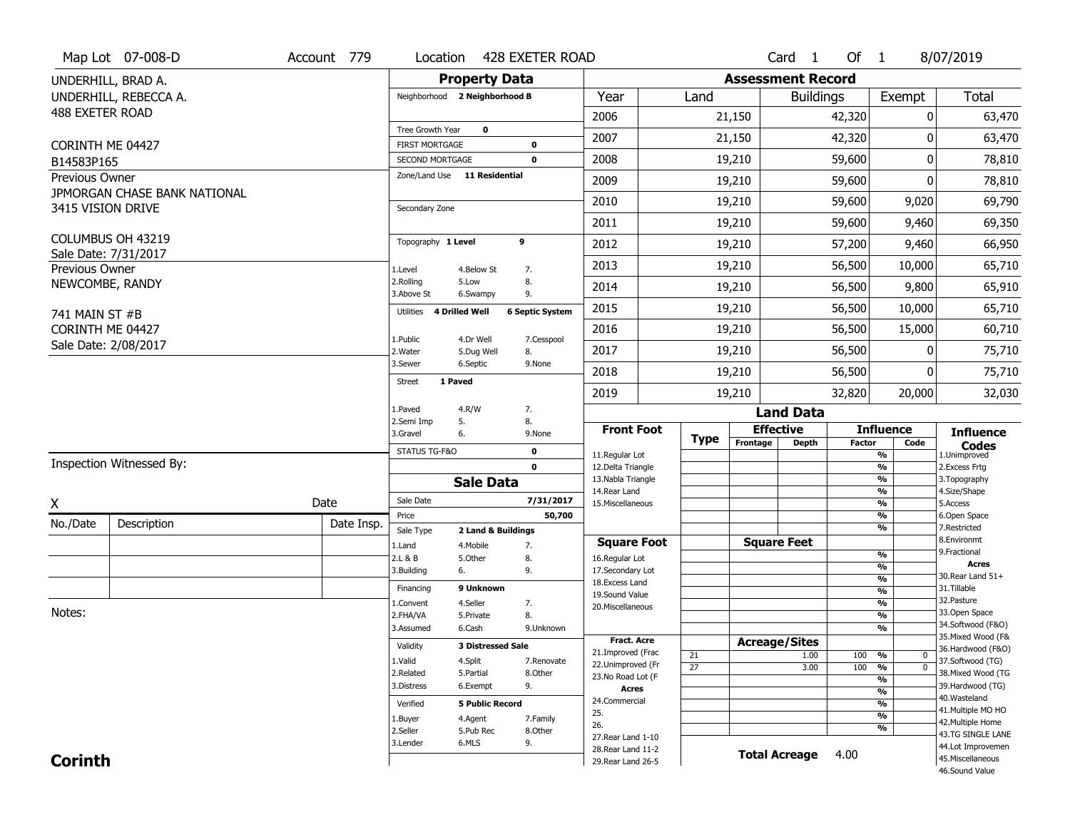|                   | Map Lot 07-008-D             | Account 779 | Location                     | 428 EXETER ROAD                             |                                          |                 |                          | Card <sub>1</sub> | Of $1$        |                               | 8/07/2019                              |
|-------------------|------------------------------|-------------|------------------------------|---------------------------------------------|------------------------------------------|-----------------|--------------------------|-------------------|---------------|-------------------------------|----------------------------------------|
|                   | UNDERHILL, BRAD A.           |             |                              | <b>Property Data</b>                        |                                          |                 | <b>Assessment Record</b> |                   |               |                               |                                        |
|                   | UNDERHILL, REBECCA A.        |             |                              | Neighborhood 2 Neighborhood B               | Year                                     | Land            |                          | <b>Buildings</b>  |               | Exempt                        | <b>Total</b>                           |
| 488 EXETER ROAD   |                              |             |                              |                                             | 2006                                     |                 | 21,150                   |                   | 42,320        | 0                             | 63,470                                 |
|                   |                              |             | Tree Growth Year             | $\mathbf 0$                                 | 2007                                     |                 | 21,150                   |                   | 42,320        | 0                             | 63,470                                 |
| CORINTH ME 04427  |                              |             | <b>FIRST MORTGAGE</b>        | $\mathbf 0$                                 |                                          |                 |                          |                   |               |                               |                                        |
| B14583P165        |                              |             | <b>SECOND MORTGAGE</b>       | $\mathbf 0$                                 | 2008                                     |                 | 19,210                   |                   | 59,600        | 0                             | 78,810                                 |
| Previous Owner    | JPMORGAN CHASE BANK NATIONAL |             | Zone/Land Use 11 Residential |                                             | 2009                                     |                 | 19,210                   |                   | 59,600        | 0                             | 78,810                                 |
| 3415 VISION DRIVE |                              |             | Secondary Zone               |                                             | 2010                                     |                 | 19,210                   |                   | 59,600        | 9,020                         | 69,790                                 |
|                   |                              |             |                              |                                             | 2011                                     |                 | 19,210                   |                   | 59,600        | 9,460                         | 69,350                                 |
|                   | COLUMBUS OH 43219            |             | Topography 1 Level           | 9                                           | 2012                                     |                 | 19,210                   |                   | 57,200        | 9,460                         | 66,950                                 |
| Previous Owner    | Sale Date: 7/31/2017         |             | 1.Level                      | 4.Below St<br>7.                            | 2013                                     |                 | 19,210                   |                   | 56,500        | 10,000                        | 65,710                                 |
| NEWCOMBE, RANDY   |                              |             | 2.Rolling<br>3.Above St      | 8.<br>5.Low<br>9.<br>6.Swampy               | 2014                                     |                 | 19,210                   |                   | 56,500        | 9,800                         | 65,910                                 |
| 741 MAIN ST #B    |                              |             | Utilities<br>4 Drilled Well  | <b>6 Septic System</b>                      | 2015                                     |                 | 19,210                   |                   | 56,500        | 10,000                        | 65,710                                 |
| CORINTH ME 04427  |                              |             |                              |                                             | 2016                                     |                 | 19,210                   |                   | 56,500        | 15,000                        | 60,710                                 |
|                   | Sale Date: 2/08/2017         |             | 1.Public<br>2.Water          | 4.Dr Well<br>7.Cesspool<br>5.Dug Well<br>8. | 2017                                     |                 | 19,210                   |                   | 56,500        | 0                             | 75,710                                 |
|                   |                              |             | 3.Sewer                      | 9.None<br>6.Septic                          | 2018                                     |                 | 19,210                   | 56,500            |               | 0                             | 75,710                                 |
|                   |                              |             | 1 Paved<br><b>Street</b>     |                                             | 2019                                     |                 | 19,210                   | 32,820            |               | 20,000                        | 32,030                                 |
|                   |                              |             | 1.Paved                      | 4.R/W<br>7.                                 |                                          |                 |                          | <b>Land Data</b>  |               |                               |                                        |
|                   |                              |             |                              |                                             |                                          |                 |                          |                   |               |                               |                                        |
|                   |                              |             | 2.Semi Imp                   | 5.<br>8.                                    | <b>Front Foot</b>                        |                 | <b>Effective</b>         |                   |               | <b>Influence</b>              |                                        |
|                   |                              |             | 3.Gravel                     | 6.<br>9.None                                |                                          | <b>Type</b>     | Frontage                 | <b>Depth</b>      | <b>Factor</b> | Code                          | <b>Influence</b><br><b>Codes</b>       |
|                   | Inspection Witnessed By:     |             | STATUS TG-F&O                | $\mathbf 0$<br>$\mathbf 0$                  | 11.Regular Lot                           |                 |                          |                   |               | %                             | 1.Unimproved                           |
|                   |                              |             |                              |                                             | 12.Delta Triangle<br>13. Nabla Triangle  |                 |                          |                   |               | %<br>%                        | 2. Excess Frtg<br>3. Topography        |
|                   |                              |             | Sale Date                    | <b>Sale Data</b>                            | 14. Rear Land                            |                 |                          |                   |               | %                             | 4.Size/Shape                           |
| X                 |                              | Date        | Price                        | 7/31/2017                                   | 15. Miscellaneous<br>50,700              |                 |                          |                   |               | %<br>%                        | 5.Access<br>6.Open Space               |
| No./Date          | Description                  | Date Insp.  | Sale Type                    | 2 Land & Buildings                          |                                          |                 |                          |                   |               | %                             | 7.Restricted                           |
|                   |                              |             | 1.Land                       | 4. Mobile<br>7.                             | <b>Square Foot</b>                       |                 | <b>Square Feet</b>       |                   |               |                               | 8.Environmt                            |
|                   |                              |             | 2.L & B                      | 5.Other<br>8.                               | 16.Regular Lot                           |                 |                          |                   |               | %                             | 9. Fractional<br><b>Acres</b>          |
|                   |                              |             | 3.Building                   | 9.<br>6.                                    | 17.Secondary Lot                         |                 |                          |                   |               | %<br>$\overline{\frac{9}{6}}$ | 30. Rear Land 51+                      |
|                   |                              |             | Financing                    | 9 Unknown                                   | 18.Excess Land<br>19.Sound Value         |                 |                          |                   |               | $\overline{\frac{9}{6}}$      | 31.Tillable                            |
|                   |                              |             | 1.Convent                    | 4.Seller<br>7.                              | 20.Miscellaneous                         |                 |                          |                   |               | $\overline{\frac{9}{6}}$      | 32.Pasture                             |
| Notes:            |                              |             | 2.FHA/VA                     | 8.<br>5.Private                             |                                          |                 |                          |                   |               | $\overline{\frac{9}{6}}$      | 33.Open Space                          |
|                   |                              |             | 3.Assumed                    | 6.Cash<br>9.Unknown                         |                                          |                 |                          |                   |               | $\frac{9}{6}$                 | 34.Softwood (F&O)                      |
|                   |                              |             | Validity                     | <b>3 Distressed Sale</b>                    | <b>Fract. Acre</b>                       |                 | <b>Acreage/Sites</b>     |                   |               |                               | 35. Mixed Wood (F&                     |
|                   |                              |             | 1.Valid                      | 4.Split<br>7.Renovate                       | 21.Improved (Frac                        | 21              |                          | 1.00              | 100           | $\frac{9}{6}$<br>0            | 36.Hardwood (F&O)<br>37.Softwood (TG)  |
|                   |                              |             | 2.Related                    | 5.Partial<br>8.Other                        | 22.Unimproved (Fr                        | $\overline{27}$ |                          | 3.00              | 100           | $\frac{9}{6}$<br>$\mathbf 0$  | 38. Mixed Wood (TG                     |
|                   |                              |             | 3.Distress                   | 9.<br>6.Exempt                              | 23.No Road Lot (F<br>Acres               |                 |                          |                   |               | $\overline{\frac{9}{6}}$      | 39.Hardwood (TG)                       |
|                   |                              |             |                              |                                             | 24.Commercial                            |                 |                          |                   |               | $\overline{\frac{9}{6}}$      | 40. Wasteland                          |
|                   |                              |             | Verified                     | <b>5 Public Record</b>                      | 25.                                      |                 |                          |                   |               | %<br>$\overline{\frac{9}{6}}$ | 41. Multiple MO HO                     |
|                   |                              |             | 1.Buyer                      | 4.Agent<br>7.Family                         | 26.                                      |                 |                          |                   |               | %                             | 42. Multiple Home                      |
|                   |                              |             | 2.Seller<br>3.Lender         | 5.Pub Rec<br>8.Other<br>6.MLS               | 27. Rear Land 1-10                       |                 |                          |                   |               |                               | 43.TG SINGLE LANE                      |
| <b>Corinth</b>    |                              |             |                              | 9.                                          | 28. Rear Land 11-2<br>29. Rear Land 26-5 |                 | <b>Total Acreage</b>     |                   | 4.00          |                               | 44.Lot Improvemen<br>45. Miscellaneous |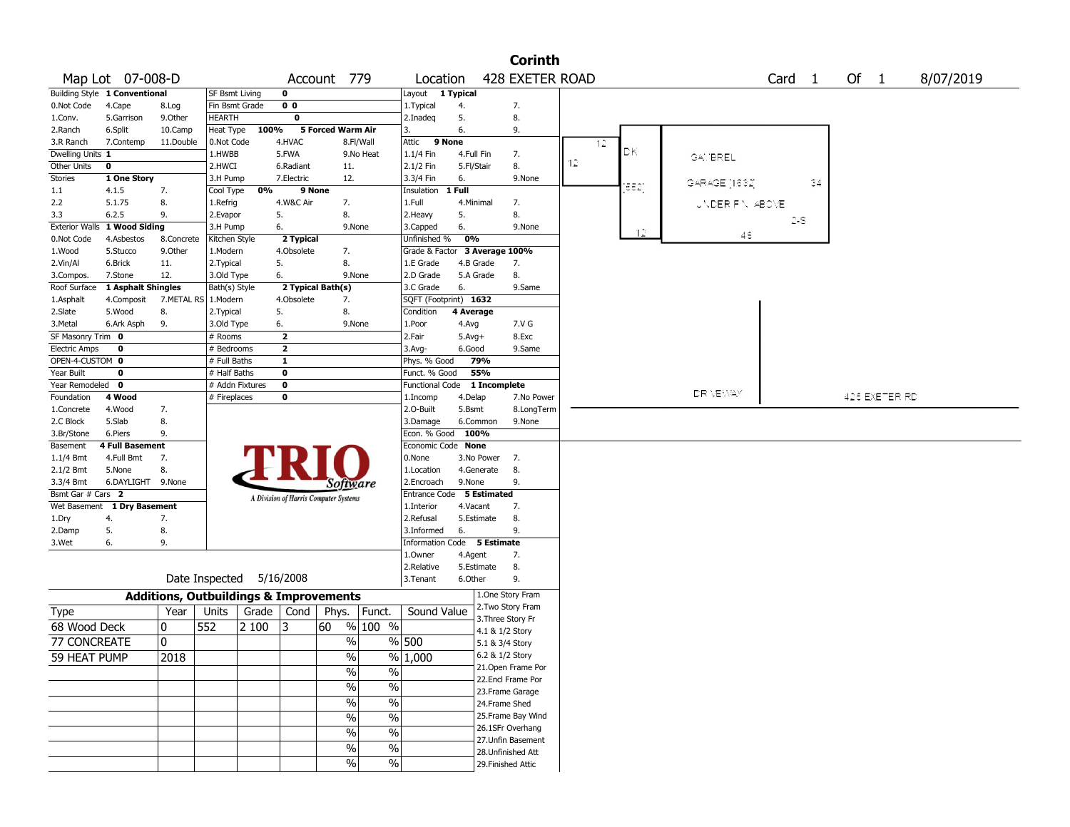|                                     | <b>Corinth</b>                |            |                                                   |          |                         |                                       |                          |                                    |                       |                    |                                       |    |        |                 |        |    |      |               |           |
|-------------------------------------|-------------------------------|------------|---------------------------------------------------|----------|-------------------------|---------------------------------------|--------------------------|------------------------------------|-----------------------|--------------------|---------------------------------------|----|--------|-----------------|--------|----|------|---------------|-----------|
|                                     | Map Lot 07-008-D              |            |                                                   |          |                         | Account 779                           |                          | Location                           |                       |                    | 428 EXETER ROAD                       |    |        |                 | Card 1 |    | Of 1 |               | 8/07/2019 |
|                                     | Building Style 1 Conventional |            | SF Bsmt Living                                    |          | $\mathbf 0$             |                                       |                          | Layout                             | 1 Typical             |                    |                                       |    |        |                 |        |    |      |               |           |
| 0.Not Code                          | 4.Cape                        | 8.Log      | Fin Bsmt Grade                                    |          | 0 <sub>0</sub>          |                                       |                          | 1. Typical                         | 4.                    |                    | 7.                                    |    |        |                 |        |    |      |               |           |
| 1.Conv.                             | 5.Garrison                    | 9.0ther    | HEARTH                                            |          | $\overline{\mathbf{0}}$ |                                       |                          | 2.Inadeg                           | 5.                    |                    | 8.                                    |    |        |                 |        |    |      |               |           |
| 2.Ranch                             | 6.Split                       | 10.Camp    | Heat Type                                         | 100%     |                         | 5 Forced Warm Air                     |                          | 3.                                 | 6.                    |                    | 9.                                    |    |        |                 |        |    |      |               |           |
| 3.R Ranch                           | 7.Contemp                     | 11.Double  | 0.Not Code                                        |          | 4.HVAC                  |                                       | 8.Fl/Wall                | Attic<br>9 None                    |                       |                    |                                       | 12 |        |                 |        |    |      |               |           |
| Dwelling Units 1                    |                               |            | 1.HWBB                                            |          | 5.FWA                   |                                       | 9.No Heat                | 1.1/4 Fin                          | 4.Full Fin            |                    | 7.                                    | 12 | DК     | GAWBREL         |        |    |      |               |           |
| Other Units                         | $\bf o$                       |            | 2.HWCI                                            |          | 6.Radiant               | 11.                                   |                          | 2.1/2 Fin                          | 5.Fl/Stair            |                    | 8.                                    |    |        |                 |        |    |      |               |           |
| Stories                             | 1 One Story                   |            | 3.H Pump                                          |          | 7.Electric              | 12.                                   |                          | 3.3/4 Fin                          | 6.                    |                    | 9.None                                |    | jeepij | IGARAGE (1832)  |        | 34 |      |               |           |
| 1.1                                 | 4.1.5                         | 7.         | Cool Type                                         | 0%       | 9 None                  |                                       |                          | Insulation                         | 1 Full                |                    |                                       |    |        |                 |        |    |      |               |           |
| 2.2                                 | 5.1.75                        | 8.         | 1.Refrig                                          |          | 4.W&C Air               | 7.                                    |                          | 1.Full                             | 4.Minimal             |                    | 7.                                    |    |        | UNDER FINIABOVE |        |    |      |               |           |
| 3.3                                 | 6.2.5<br>1 Wood Siding        | 9.         | 2.Evapor                                          | 5.<br>6. |                         | 8.<br>9.None                          |                          | 2.Heavy                            | 5.<br>6.              |                    | 8.<br>9.None                          |    |        |                 | 2-S.   |    |      |               |           |
| <b>Exterior Walls</b><br>0.Not Code | 4.Asbestos                    | 8.Concrete | 3.H Pump<br>Kitchen Style                         |          | 2 Typical               |                                       |                          | 3.Capped<br>Unfinished %           | 0%                    |                    |                                       |    | 12     | 46              |        |    |      |               |           |
| 1.Wood                              | 5.Stucco                      | 9.0ther    | 1.Modern                                          |          | 4.Obsolete              | 7.                                    |                          | Grade & Factor                     |                       | 3 Average 100%     |                                       |    |        |                 |        |    |      |               |           |
| 2.Vin/Al                            | 6.Brick                       | 11.        | 2. Typical                                        | 5.       |                         | 8.                                    |                          | 1.E Grade                          | 4.B Grade             |                    | 7.                                    |    |        |                 |        |    |      |               |           |
| 3.Compos.                           | 7.Stone                       | 12.        | 3.Old Type                                        | 6.       |                         | 9.None                                |                          | 2.D Grade                          | 5.A Grade             |                    | 8.                                    |    |        |                 |        |    |      |               |           |
| Roof Surface                        | 1 Asphalt Shingles            |            | Bath(s) Style                                     |          |                         | 2 Typical Bath(s)                     |                          | 3.C Grade                          | 6.                    |                    | 9.Same                                |    |        |                 |        |    |      |               |           |
| 1.Asphalt                           | 4.Composit                    | 7.METAL RS | 1.Modern                                          |          | 4.Obsolete              | 7.                                    |                          | SQFT (Footprint) 1632              |                       |                    |                                       |    |        |                 |        |    |      |               |           |
| 2.Slate                             | 5.Wood                        | 8.         | 2. Typical                                        | 5.       |                         | 8.                                    |                          | Condition                          | 4 Average             |                    |                                       |    |        |                 |        |    |      |               |           |
| 3.Metal                             | 6.Ark Asph                    | 9.         | 3.Old Type                                        | 6.       |                         | 9.None                                |                          | 1.Poor                             | 4.Avg                 |                    | 7.V G                                 |    |        |                 |        |    |      |               |           |
| SF Masonry Trim 0                   |                               |            | $#$ Rooms                                         |          | $\overline{2}$          |                                       |                          | 2.Fair                             | $5.Avg+$              |                    | 8.Exc                                 |    |        |                 |        |    |      |               |           |
| <b>Electric Amps</b>                | 0                             |            | # Bedrooms                                        |          | $\overline{2}$          |                                       |                          | $3.$ Avg-                          | 6.Good                |                    | 9.Same                                |    |        |                 |        |    |      |               |           |
| OPEN-4-CUSTOM 0                     |                               |            | # Full Baths                                      |          | $\overline{\mathbf{1}}$ |                                       |                          | Phys. % Good                       | 79%                   |                    |                                       |    |        |                 |        |    |      |               |           |
| Year Built                          | $\mathbf 0$                   |            | # Half Baths                                      |          | $\bf{0}$                |                                       |                          | Funct. % Good                      | 55%                   |                    |                                       |    |        |                 |        |    |      |               |           |
| Year Remodeled 0                    |                               |            | # Addn Fixtures                                   |          | $\overline{\mathbf{0}}$ |                                       |                          | Functional Code 1 Incomplete       |                       |                    |                                       |    |        |                 |        |    |      |               |           |
| Foundation                          | 4 Wood                        |            | # Fireplaces                                      |          | $\pmb{0}$               |                                       |                          | 1.Incomp                           | 4.Delap               |                    | 7.No Power                            |    |        | DR VENWY        |        |    |      | 426 EXETER RD |           |
| 1.Concrete                          | 4.Wood                        | 7.         |                                                   |          |                         |                                       |                          | 2.O-Built                          | 5.Bsmt                |                    | 8.LongTerm                            |    |        |                 |        |    |      |               |           |
| 2.C Block                           | 5.Slab                        | 8.         |                                                   |          |                         |                                       |                          | 3.Damage                           | 6.Common              |                    | 9.None                                |    |        |                 |        |    |      |               |           |
| 3.Br/Stone                          | 6.Piers                       | 9.         |                                                   |          |                         |                                       |                          | Econ. % Good                       | 100%                  |                    |                                       |    |        |                 |        |    |      |               |           |
| Basement                            | 4 Full Basement               |            |                                                   |          |                         |                                       |                          | Economic Code None                 |                       |                    |                                       |    |        |                 |        |    |      |               |           |
| $1.1/4$ Bmt                         | 4.Full Bmt                    | 7.         |                                                   |          |                         |                                       |                          | 0.None                             | 3.No Power            |                    | 7.                                    |    |        |                 |        |    |      |               |           |
| 2.1/2 Bmt                           | 5.None                        | 8.         |                                                   |          |                         |                                       |                          | 1.Location                         | 4.Generate            |                    | 8.                                    |    |        |                 |        |    |      |               |           |
| 3.3/4 Bmt                           | 6.DAYLIGHT 9.None             |            |                                                   |          |                         | Software                              |                          | 2.Encroach                         | 9.None                |                    | 9.                                    |    |        |                 |        |    |      |               |           |
| Bsmt Gar # Cars 2                   |                               |            |                                                   |          |                         | A Division of Harris Computer Systems |                          | Entrance Code 5 Estimated          |                       |                    |                                       |    |        |                 |        |    |      |               |           |
| Wet Basement                        | 1 Dry Basement                |            |                                                   |          |                         |                                       |                          | 1.Interior                         | 4.Vacant              |                    | 7.                                    |    |        |                 |        |    |      |               |           |
| 1.Dry                               | 4.                            | 7.         |                                                   |          |                         |                                       |                          | 2.Refusal                          | 5.Estimate            |                    | 8.                                    |    |        |                 |        |    |      |               |           |
| 2.Damp                              | 5.                            | 8.         |                                                   |          |                         |                                       |                          | 3.Informed                         | 6.                    |                    | 9.                                    |    |        |                 |        |    |      |               |           |
| 3.Wet                               | 6.                            | 9.         |                                                   |          |                         |                                       |                          | <b>Information Code</b><br>1.0wner |                       | 5 Estimate         | 7.                                    |    |        |                 |        |    |      |               |           |
|                                     |                               |            |                                                   |          |                         |                                       |                          | 2.Relative                         | 4.Agent<br>5.Estimate |                    | 8.                                    |    |        |                 |        |    |      |               |           |
|                                     |                               |            | Date Inspected                                    |          | 5/16/2008               |                                       |                          | 3. Tenant                          | 6.Other               |                    | 9.                                    |    |        |                 |        |    |      |               |           |
|                                     |                               |            |                                                   |          |                         |                                       |                          |                                    |                       |                    |                                       |    |        |                 |        |    |      |               |           |
|                                     |                               |            | <b>Additions, Outbuildings &amp; Improvements</b> |          |                         |                                       |                          |                                    |                       |                    | 1.One Story Fram<br>2. Two Story Fram |    |        |                 |        |    |      |               |           |
| Type                                |                               | Year       | Units                                             | Grade    | Cond                    | Phys.                                 | Funct.                   | Sound Value                        |                       | 3. Three Story Fr  |                                       |    |        |                 |        |    |      |               |           |
| 68 Wood Deck                        |                               | 0          | 552                                               | 2 100    | 3                       | 60                                    | % 100 %                  |                                    |                       | 4.1 & 1/2 Story    |                                       |    |        |                 |        |    |      |               |           |
| 77 CONCREATE                        |                               | 10         |                                                   |          |                         | %                                     |                          | % 500                              |                       | 5.1 & 3/4 Story    |                                       |    |        |                 |        |    |      |               |           |
| 59 HEAT PUMP                        |                               | 2018       |                                                   |          |                         | $\frac{0}{6}$                         |                          | % 1,000                            |                       | 6.2 & 1/2 Story    |                                       |    |        |                 |        |    |      |               |           |
|                                     |                               |            |                                                   |          |                         |                                       |                          |                                    |                       |                    | 21.Open Frame Por                     |    |        |                 |        |    |      |               |           |
|                                     |                               |            |                                                   |          |                         | $\%$                                  | $\frac{0}{0}$            |                                    |                       |                    | 22.Encl Frame Por                     |    |        |                 |        |    |      |               |           |
|                                     |                               |            |                                                   |          |                         | $\sqrt{6}$                            | $\overline{\frac{0}{0}}$ |                                    |                       |                    | 23. Frame Garage                      |    |        |                 |        |    |      |               |           |
|                                     |                               |            |                                                   |          |                         | $\sqrt{6}$                            | $\overline{\frac{0}{0}}$ |                                    |                       | 24.Frame Shed      |                                       |    |        |                 |        |    |      |               |           |
|                                     |                               |            |                                                   |          |                         | $\sqrt{6}$                            | $\overline{\frac{0}{0}}$ |                                    |                       |                    | 25. Frame Bay Wind                    |    |        |                 |        |    |      |               |           |
|                                     |                               |            |                                                   |          |                         | $\%$                                  |                          |                                    |                       |                    | 26.1SFr Overhang                      |    |        |                 |        |    |      |               |           |
|                                     |                               |            |                                                   |          |                         |                                       | $\%$                     |                                    |                       |                    | 27. Unfin Basement                    |    |        |                 |        |    |      |               |           |
|                                     |                               |            |                                                   |          |                         | $\%$                                  | $\%$                     |                                    |                       |                    | 28.Unfinished Att                     |    |        |                 |        |    |      |               |           |
|                                     |                               |            |                                                   |          |                         | $\%$                                  | $\%$                     |                                    |                       | 29. Finished Attic |                                       |    |        |                 |        |    |      |               |           |
|                                     |                               |            |                                                   |          |                         |                                       |                          |                                    |                       |                    |                                       |    |        |                 |        |    |      |               |           |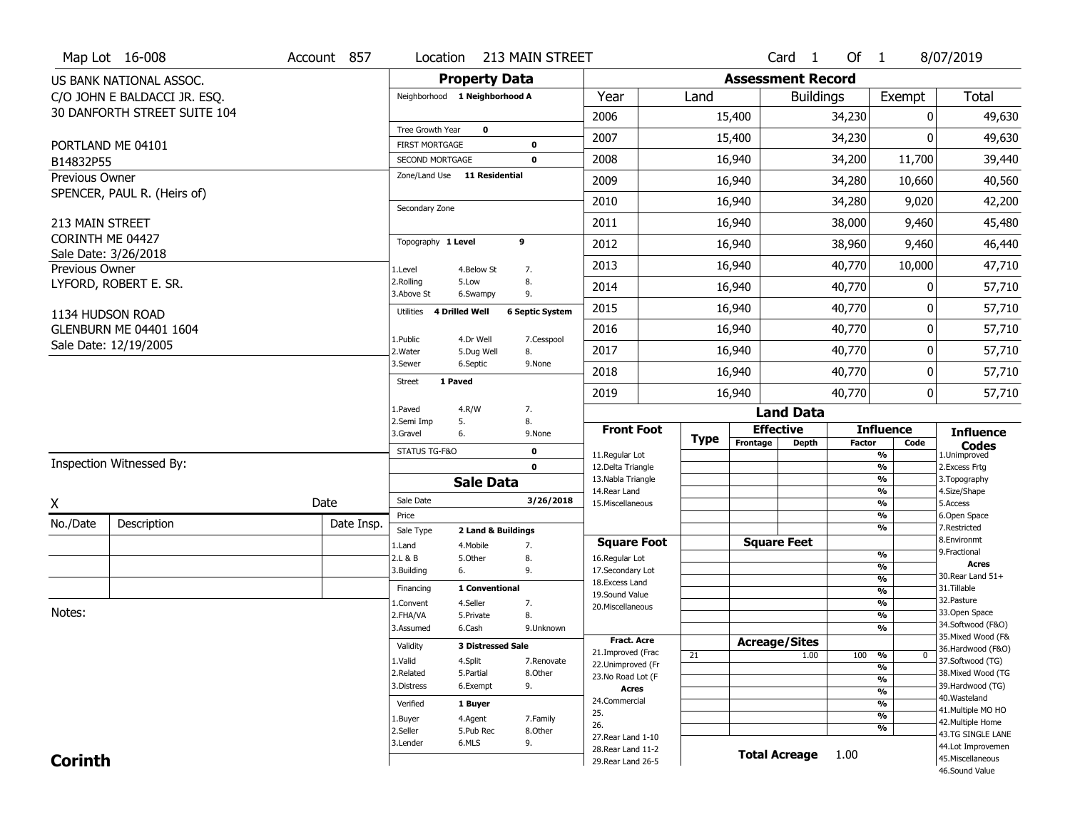|                             | Map Lot 16-008                | Account 857 | Location                                  | 213 MAIN STREET                             |                                          |             |                              | Card <sub>1</sub>    | Of $1$        |                                           | 8/07/2019                              |
|-----------------------------|-------------------------------|-------------|-------------------------------------------|---------------------------------------------|------------------------------------------|-------------|------------------------------|----------------------|---------------|-------------------------------------------|----------------------------------------|
|                             | US BANK NATIONAL ASSOC.       |             |                                           | <b>Property Data</b>                        |                                          |             | <b>Assessment Record</b>     |                      |               |                                           |                                        |
|                             | C/O JOHN E BALDACCI JR. ESO.  |             | Neighborhood 1 Neighborhood A             |                                             | Year                                     | Land        |                              | <b>Buildings</b>     |               | Exempt                                    | Total                                  |
|                             | 30 DANFORTH STREET SUITE 104  |             |                                           |                                             | 2006                                     |             | 15,400                       |                      | 34,230        | 0                                         | 49,630                                 |
|                             |                               |             | Tree Growth Year                          | $\mathbf{o}$                                | 2007                                     |             | 15,400                       |                      | 34,230        | O                                         | 49,630                                 |
|                             | PORTLAND ME 04101             |             | <b>FIRST MORTGAGE</b><br>SECOND MORTGAGE  | 0<br>$\mathbf 0$                            | 2008                                     |             | 16,940                       |                      | 34,200        | 11,700                                    | 39,440                                 |
| B14832P55<br>Previous Owner |                               |             | Zone/Land Use 11 Residential              |                                             |                                          |             |                              |                      |               |                                           |                                        |
|                             | SPENCER, PAUL R. (Heirs of)   |             |                                           |                                             | 2009                                     |             | 16,940                       |                      | 34,280        | 10,660                                    | 40,560                                 |
|                             |                               |             | Secondary Zone                            |                                             | 2010                                     |             | 16,940                       |                      | 34,280        | 9,020                                     | 42,200                                 |
| 213 MAIN STREET             |                               |             |                                           |                                             | 2011                                     |             | 16,940                       |                      | 38,000        | 9,460                                     | 45,480                                 |
| CORINTH ME 04427            |                               |             | Topography 1 Level                        | 9                                           | 2012                                     |             | 16,940                       |                      | 38,960        | 9,460                                     | 46,440                                 |
| <b>Previous Owner</b>       | Sale Date: 3/26/2018          |             |                                           |                                             | 2013                                     |             | 16,940                       |                      | 40,770        | 10,000                                    | 47,710                                 |
|                             | LYFORD, ROBERT E. SR.         |             | 1.Level<br>2.Rolling                      | 4.Below St<br>7.<br>5.Low<br>8.             | 2014                                     | 16,940      |                              |                      | 40,770        | 0                                         | 57,710                                 |
|                             | 1134 HUDSON ROAD              |             | 3.Above St<br>4 Drilled Well<br>Utilities | 9.<br>6.Swampy<br><b>6 Septic System</b>    | 2015                                     |             | 16,940                       |                      | 40,770        | 0                                         | 57,710                                 |
|                             | <b>GLENBURN ME 04401 1604</b> |             |                                           |                                             | 2016                                     |             | 16,940                       |                      | 40,770        | 0                                         | 57,710                                 |
|                             | Sale Date: 12/19/2005         |             | 1.Public<br>2. Water                      | 4.Dr Well<br>7.Cesspool<br>8.<br>5.Dug Well | 2017                                     |             | 16,940                       |                      | 40,770        | 0                                         | 57,710                                 |
|                             |                               |             | 3.Sewer                                   | 6.Septic<br>9.None                          | 2018<br>16,940                           |             |                              |                      |               | 0                                         | 57,710                                 |
|                             |                               |             | 1 Paved<br><b>Street</b>                  |                                             |                                          |             |                              | 40,770               |               |                                           |                                        |
|                             |                               |             | 1.Paved                                   | 4.R/W<br>7.                                 | 2019                                     |             | 16,940                       |                      | 40,770        | 0                                         | 57,710                                 |
|                             |                               |             | 2.Semi Imp<br>5.                          | 8.                                          |                                          |             |                              | <b>Land Data</b>     |               |                                           |                                        |
|                             |                               |             | 3.Gravel<br>6.                            | 9.None                                      | <b>Front Foot</b>                        | <b>Type</b> | <b>Effective</b><br>Frontage | <b>Depth</b>         | <b>Factor</b> | <b>Influence</b><br>Code                  | <b>Influence</b>                       |
|                             |                               |             | STATUS TG-F&O                             | $\mathbf 0$                                 | 11.Regular Lot                           |             |                              |                      |               | $\frac{9}{6}$                             | <b>Codes</b><br>1.Unimproved           |
|                             | Inspection Witnessed By:      |             |                                           | $\mathbf 0$                                 | 12.Delta Triangle                        |             |                              |                      |               | $\frac{9}{6}$                             | 2.Excess Frtg                          |
|                             |                               |             |                                           | <b>Sale Data</b>                            | 13. Nabla Triangle<br>14. Rear Land      |             |                              |                      |               | %<br>%                                    | 3. Topography<br>4.Size/Shape          |
| Χ                           |                               | Date        | Sale Date                                 | 3/26/2018                                   | 15. Miscellaneous                        |             |                              |                      |               | %                                         | 5.Access                               |
| No./Date                    | Description                   | Date Insp.  | Price                                     |                                             |                                          |             |                              |                      |               | %<br>%                                    | 6.Open Space<br>7.Restricted           |
|                             |                               |             | Sale Type<br>1.Land                       | 2 Land & Buildings<br>7.<br>4. Mobile       | <b>Square Foot</b>                       |             | <b>Square Feet</b>           |                      |               |                                           | 8.Environmt                            |
|                             |                               |             | 2.L & B                                   |                                             |                                          |             |                              |                      |               | %                                         | 9. Fractional<br><b>Acres</b>          |
|                             |                               |             |                                           | 5.Other<br>8.                               | 16.Regular Lot                           |             |                              |                      |               |                                           |                                        |
|                             |                               |             | 3.Building<br>6.                          | 9.                                          | 17.Secondary Lot                         |             |                              |                      |               | %                                         |                                        |
|                             |                               |             | Financing                                 | 1 Conventional                              | 18. Excess Land                          |             |                              |                      |               | %<br>%                                    | 30. Rear Land 51+<br>31.Tillable       |
|                             |                               |             | 1.Convent                                 | 4.Seller<br>7.                              | 19.Sound Value<br>20.Miscellaneous       |             |                              |                      |               | %                                         | 32.Pasture                             |
| Notes:                      |                               |             | 2.FHA/VA                                  | 8.<br>5.Private                             |                                          |             |                              |                      |               | %                                         | 33.Open Space                          |
|                             |                               |             | 3.Assumed                                 | 6.Cash<br>9.Unknown                         |                                          |             |                              |                      |               | %                                         | 34.Softwood (F&O)                      |
|                             |                               |             | Validity                                  | <b>3 Distressed Sale</b>                    | Fract. Acre                              |             | <b>Acreage/Sites</b>         |                      |               |                                           | 35. Mixed Wood (F&                     |
|                             |                               |             | 1.Valid                                   | 4.Split<br>7.Renovate                       | 21.Improved (Frac<br>22.Unimproved (Fr   | 21          |                              | 1.00                 | 100 %         | 0                                         | 36.Hardwood (F&O)<br>37.Softwood (TG)  |
|                             |                               |             | 2.Related                                 | 5.Partial<br>8.Other                        | 23.No Road Lot (F                        |             |                              |                      |               | $\frac{9}{6}$                             | 38. Mixed Wood (TG                     |
|                             |                               |             | 3.Distress                                | 9.<br>6.Exempt                              | <b>Acres</b>                             |             |                              |                      |               | $\overline{\frac{9}{6}}$<br>$\frac{9}{6}$ | 39.Hardwood (TG)                       |
|                             |                               |             | Verified                                  | 1 Buyer                                     | 24.Commercial                            |             |                              |                      |               | $\overline{\frac{9}{6}}$                  | 40. Wasteland                          |
|                             |                               |             | 1.Buyer                                   | 4.Agent<br>7.Family                         | 25.                                      |             |                              |                      |               | %                                         | 41. Multiple MO HO                     |
|                             |                               |             | 2.Seller                                  | 5.Pub Rec<br>8.Other                        | 26.                                      |             |                              |                      |               | %                                         | 42. Multiple Home<br>43.TG SINGLE LANE |
|                             |                               |             | 3.Lender                                  | 6.MLS<br>9.                                 | 27. Rear Land 1-10                       |             |                              |                      |               |                                           | 44.Lot Improvemen                      |
| <b>Corinth</b>              |                               |             |                                           |                                             | 28. Rear Land 11-2<br>29. Rear Land 26-5 |             |                              | <b>Total Acreage</b> | 1.00          |                                           | 45. Miscellaneous<br>46.Sound Value    |